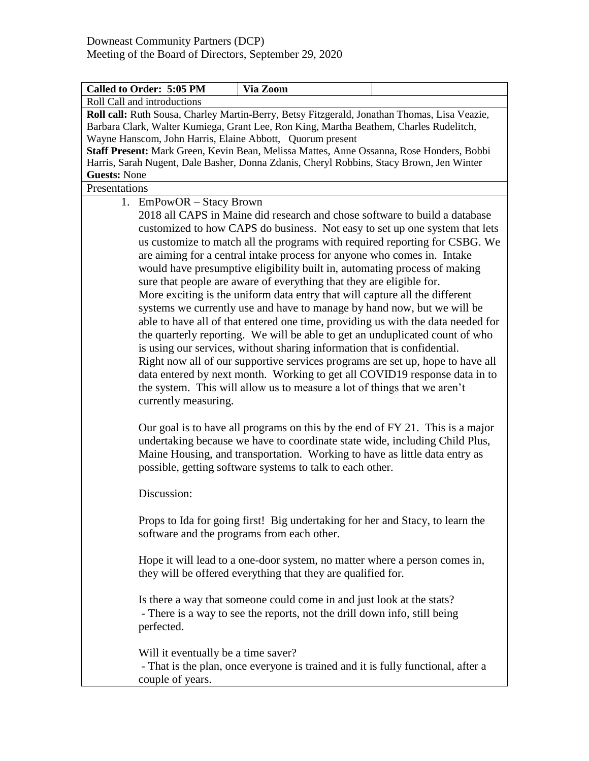| Called to Order: 5:05 PM                                                                                                                                                                                                                                                                                                                                                                                                                    | Via Zoom                                                                                                                                                                                                                                                                                                                                                                                                                                                                                                                                                                                                                                                                                                                                                                                                                                                                                                                                                                                                                                           |  |
|---------------------------------------------------------------------------------------------------------------------------------------------------------------------------------------------------------------------------------------------------------------------------------------------------------------------------------------------------------------------------------------------------------------------------------------------|----------------------------------------------------------------------------------------------------------------------------------------------------------------------------------------------------------------------------------------------------------------------------------------------------------------------------------------------------------------------------------------------------------------------------------------------------------------------------------------------------------------------------------------------------------------------------------------------------------------------------------------------------------------------------------------------------------------------------------------------------------------------------------------------------------------------------------------------------------------------------------------------------------------------------------------------------------------------------------------------------------------------------------------------------|--|
| Roll Call and introductions                                                                                                                                                                                                                                                                                                                                                                                                                 |                                                                                                                                                                                                                                                                                                                                                                                                                                                                                                                                                                                                                                                                                                                                                                                                                                                                                                                                                                                                                                                    |  |
| Roll call: Ruth Sousa, Charley Martin-Berry, Betsy Fitzgerald, Jonathan Thomas, Lisa Veazie,<br>Barbara Clark, Walter Kumiega, Grant Lee, Ron King, Martha Beathem, Charles Rudelitch,<br>Wayne Hanscom, John Harris, Elaine Abbott, Quorum present<br>Staff Present: Mark Green, Kevin Bean, Melissa Mattes, Anne Ossanna, Rose Honders, Bobbi<br>Harris, Sarah Nugent, Dale Basher, Donna Zdanis, Cheryl Robbins, Stacy Brown, Jen Winter |                                                                                                                                                                                                                                                                                                                                                                                                                                                                                                                                                                                                                                                                                                                                                                                                                                                                                                                                                                                                                                                    |  |
| <b>Guests: None</b>                                                                                                                                                                                                                                                                                                                                                                                                                         |                                                                                                                                                                                                                                                                                                                                                                                                                                                                                                                                                                                                                                                                                                                                                                                                                                                                                                                                                                                                                                                    |  |
| Presentations                                                                                                                                                                                                                                                                                                                                                                                                                               |                                                                                                                                                                                                                                                                                                                                                                                                                                                                                                                                                                                                                                                                                                                                                                                                                                                                                                                                                                                                                                                    |  |
| 1. EmPowOR - Stacy Brown                                                                                                                                                                                                                                                                                                                                                                                                                    | 2018 all CAPS in Maine did research and chose software to build a database<br>customized to how CAPS do business. Not easy to set up one system that lets<br>us customize to match all the programs with required reporting for CSBG. We<br>are aiming for a central intake process for anyone who comes in. Intake<br>would have presumptive eligibility built in, automating process of making<br>sure that people are aware of everything that they are eligible for.<br>More exciting is the uniform data entry that will capture all the different<br>systems we currently use and have to manage by hand now, but we will be<br>able to have all of that entered one time, providing us with the data needed for<br>the quarterly reporting. We will be able to get an unduplicated count of who<br>is using our services, without sharing information that is confidential.<br>Right now all of our supportive services programs are set up, hope to have all<br>data entered by next month. Working to get all COVID19 response data in to |  |
| currently measuring.                                                                                                                                                                                                                                                                                                                                                                                                                        | the system. This will allow us to measure a lot of things that we aren't<br>Our goal is to have all programs on this by the end of FY 21. This is a major<br>undertaking because we have to coordinate state wide, including Child Plus,<br>Maine Housing, and transportation. Working to have as little data entry as<br>possible, getting software systems to talk to each other.                                                                                                                                                                                                                                                                                                                                                                                                                                                                                                                                                                                                                                                                |  |
| Discussion:                                                                                                                                                                                                                                                                                                                                                                                                                                 |                                                                                                                                                                                                                                                                                                                                                                                                                                                                                                                                                                                                                                                                                                                                                                                                                                                                                                                                                                                                                                                    |  |
|                                                                                                                                                                                                                                                                                                                                                                                                                                             | Props to Ida for going first! Big undertaking for her and Stacy, to learn the<br>software and the programs from each other.                                                                                                                                                                                                                                                                                                                                                                                                                                                                                                                                                                                                                                                                                                                                                                                                                                                                                                                        |  |
|                                                                                                                                                                                                                                                                                                                                                                                                                                             | Hope it will lead to a one-door system, no matter where a person comes in,<br>they will be offered everything that they are qualified for.                                                                                                                                                                                                                                                                                                                                                                                                                                                                                                                                                                                                                                                                                                                                                                                                                                                                                                         |  |
| perfected.                                                                                                                                                                                                                                                                                                                                                                                                                                  | Is there a way that someone could come in and just look at the stats?<br>- There is a way to see the reports, not the drill down info, still being                                                                                                                                                                                                                                                                                                                                                                                                                                                                                                                                                                                                                                                                                                                                                                                                                                                                                                 |  |
| Will it eventually be a time saver?<br>couple of years.                                                                                                                                                                                                                                                                                                                                                                                     | - That is the plan, once everyone is trained and it is fully functional, after a                                                                                                                                                                                                                                                                                                                                                                                                                                                                                                                                                                                                                                                                                                                                                                                                                                                                                                                                                                   |  |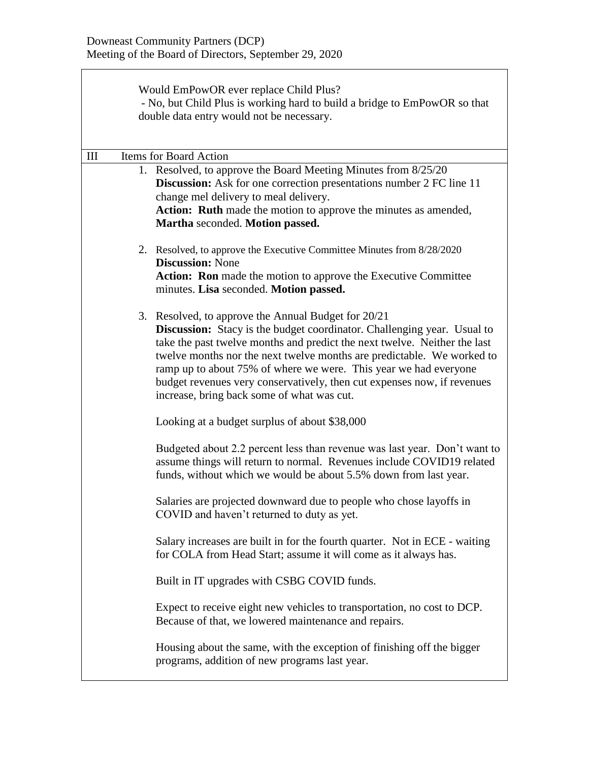|     | Would EmPowOR ever replace Child Plus?                                    |                                                                                                                                               |  |  |  |
|-----|---------------------------------------------------------------------------|-----------------------------------------------------------------------------------------------------------------------------------------------|--|--|--|
|     |                                                                           | - No, but Child Plus is working hard to build a bridge to EmPowOR so that<br>double data entry would not be necessary.                        |  |  |  |
|     |                                                                           |                                                                                                                                               |  |  |  |
|     |                                                                           |                                                                                                                                               |  |  |  |
| III | <b>Items for Board Action</b>                                             |                                                                                                                                               |  |  |  |
|     |                                                                           | 1. Resolved, to approve the Board Meeting Minutes from 8/25/20                                                                                |  |  |  |
|     |                                                                           | <b>Discussion:</b> Ask for one correction presentations number 2 FC line 11<br>change mel delivery to meal delivery.                          |  |  |  |
|     |                                                                           | Action: Ruth made the motion to approve the minutes as amended,                                                                               |  |  |  |
|     |                                                                           | Martha seconded. Motion passed.                                                                                                               |  |  |  |
|     |                                                                           |                                                                                                                                               |  |  |  |
|     |                                                                           | 2. Resolved, to approve the Executive Committee Minutes from 8/28/2020<br><b>Discussion: None</b>                                             |  |  |  |
|     |                                                                           | Action: Ron made the motion to approve the Executive Committee                                                                                |  |  |  |
|     |                                                                           | minutes. Lisa seconded. Motion passed.                                                                                                        |  |  |  |
|     |                                                                           | 3. Resolved, to approve the Annual Budget for 20/21                                                                                           |  |  |  |
|     |                                                                           | <b>Discussion:</b> Stacy is the budget coordinator. Challenging year. Usual to                                                                |  |  |  |
|     |                                                                           | take the past twelve months and predict the next twelve. Neither the last                                                                     |  |  |  |
|     |                                                                           | twelve months nor the next twelve months are predictable. We worked to                                                                        |  |  |  |
|     |                                                                           | ramp up to about 75% of where we were. This year we had everyone<br>budget revenues very conservatively, then cut expenses now, if revenues   |  |  |  |
|     |                                                                           | increase, bring back some of what was cut.                                                                                                    |  |  |  |
|     | Looking at a budget surplus of about \$38,000                             |                                                                                                                                               |  |  |  |
|     | Budgeted about 2.2 percent less than revenue was last year. Don't want to |                                                                                                                                               |  |  |  |
|     |                                                                           | assume things will return to normal. Revenues include COVID19 related<br>funds, without which we would be about 5.5% down from last year.     |  |  |  |
|     |                                                                           |                                                                                                                                               |  |  |  |
|     |                                                                           | Salaries are projected downward due to people who chose layoffs in<br>COVID and haven't returned to duty as yet.                              |  |  |  |
|     |                                                                           | Salary increases are built in for the fourth quarter. Not in ECE - waiting<br>for COLA from Head Start; assume it will come as it always has. |  |  |  |
|     |                                                                           | Built in IT upgrades with CSBG COVID funds.                                                                                                   |  |  |  |
|     |                                                                           | Expect to receive eight new vehicles to transportation, no cost to DCP.<br>Because of that, we lowered maintenance and repairs.               |  |  |  |
|     |                                                                           | Housing about the same, with the exception of finishing off the bigger<br>programs, addition of new programs last year.                       |  |  |  |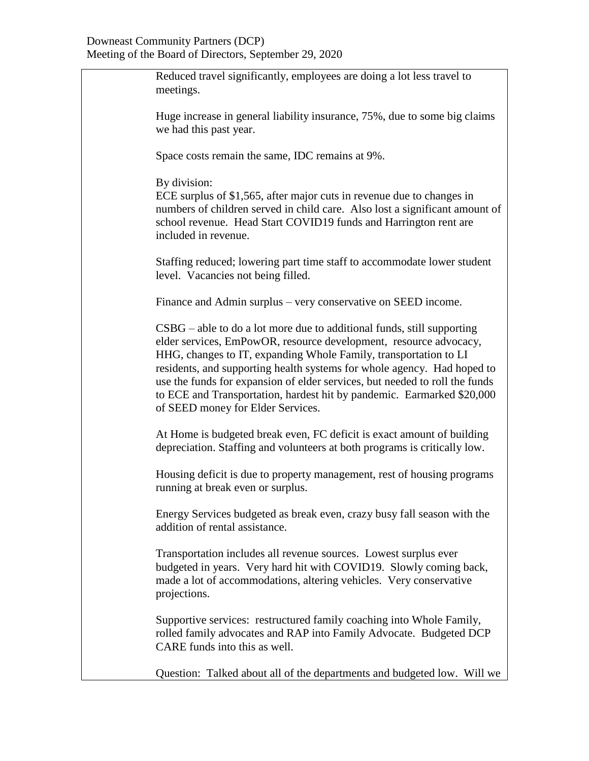Reduced travel significantly, employees are doing a lot less travel to meetings. Huge increase in general liability insurance, 75%, due to some big claims we had this past year. Space costs remain the same, IDC remains at 9%. By division: ECE surplus of \$1,565, after major cuts in revenue due to changes in numbers of children served in child care. Also lost a significant amount of school revenue. Head Start COVID19 funds and Harrington rent are included in revenue. Staffing reduced; lowering part time staff to accommodate lower student level. Vacancies not being filled. Finance and Admin surplus – very conservative on SEED income. CSBG – able to do a lot more due to additional funds, still supporting elder services, EmPowOR, resource development, resource advocacy, HHG, changes to IT, expanding Whole Family, transportation to LI residents, and supporting health systems for whole agency. Had hoped to use the funds for expansion of elder services, but needed to roll the funds to ECE and Transportation, hardest hit by pandemic. Earmarked \$20,000 of SEED money for Elder Services. At Home is budgeted break even, FC deficit is exact amount of building depreciation. Staffing and volunteers at both programs is critically low. Housing deficit is due to property management, rest of housing programs running at break even or surplus. Energy Services budgeted as break even, crazy busy fall season with the addition of rental assistance. Transportation includes all revenue sources. Lowest surplus ever budgeted in years. Very hard hit with COVID19. Slowly coming back, made a lot of accommodations, altering vehicles. Very conservative projections. Supportive services: restructured family coaching into Whole Family, rolled family advocates and RAP into Family Advocate. Budgeted DCP CARE funds into this as well. Question: Talked about all of the departments and budgeted low. Will we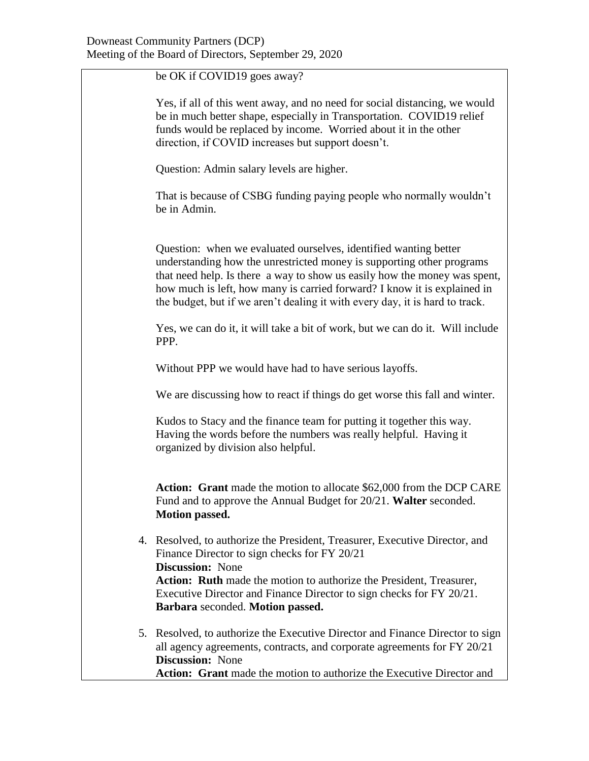be OK if COVID19 goes away? Yes, if all of this went away, and no need for social distancing, we would be in much better shape, especially in Transportation. COVID19 relief funds would be replaced by income. Worried about it in the other direction, if COVID increases but support doesn't. Question: Admin salary levels are higher. That is because of CSBG funding paying people who normally wouldn't be in Admin. Question: when we evaluated ourselves, identified wanting better understanding how the unrestricted money is supporting other programs that need help. Is there a way to show us easily how the money was spent, how much is left, how many is carried forward? I know it is explained in the budget, but if we aren't dealing it with every day, it is hard to track. Yes, we can do it, it will take a bit of work, but we can do it. Will include PPP. Without PPP we would have had to have serious layoffs. We are discussing how to react if things do get worse this fall and winter. Kudos to Stacy and the finance team for putting it together this way. Having the words before the numbers was really helpful. Having it organized by division also helpful. **Action: Grant** made the motion to allocate \$62,000 from the DCP CARE Fund and to approve the Annual Budget for 20/21. **Walter** seconded. **Motion passed.** 4. Resolved, to authorize the President, Treasurer, Executive Director, and Finance Director to sign checks for FY 20/21 **Discussion:** None **Action: Ruth** made the motion to authorize the President, Treasurer, Executive Director and Finance Director to sign checks for FY 20/21. **Barbara** seconded. **Motion passed.** 5. Resolved, to authorize the Executive Director and Finance Director to sign all agency agreements, contracts, and corporate agreements for FY 20/21 **Discussion:** None **Action: Grant** made the motion to authorize the Executive Director and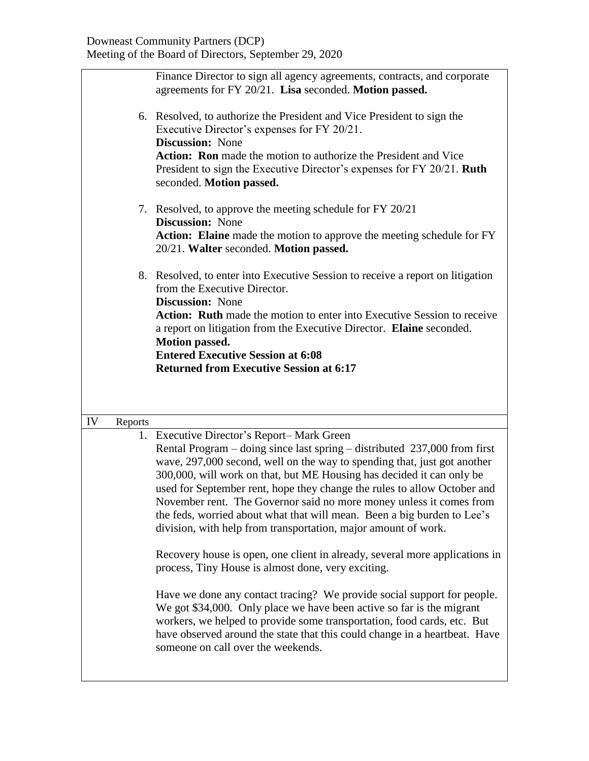|    |         | Finance Director to sign all agency agreements, contracts, and corporate<br>agreements for FY 20/21. Lisa seconded. Motion passed.<br>6. Resolved, to authorize the President and Vice President to sign the<br>Executive Director's expenses for FY 20/21.<br><b>Discussion:</b> None<br><b>Action:</b> Ron made the motion to authorize the President and Vice<br>President to sign the Executive Director's expenses for FY 20/21. Ruth<br>seconded. Motion passed.                                                                                                                                                                                                                                                                                                                                                                                                                                                                                                                                                                                              |  |
|----|---------|---------------------------------------------------------------------------------------------------------------------------------------------------------------------------------------------------------------------------------------------------------------------------------------------------------------------------------------------------------------------------------------------------------------------------------------------------------------------------------------------------------------------------------------------------------------------------------------------------------------------------------------------------------------------------------------------------------------------------------------------------------------------------------------------------------------------------------------------------------------------------------------------------------------------------------------------------------------------------------------------------------------------------------------------------------------------|--|
|    |         | 7. Resolved, to approve the meeting schedule for FY 20/21<br><b>Discussion:</b> None<br>Action: Elaine made the motion to approve the meeting schedule for FY<br>20/21. Walter seconded. Motion passed.                                                                                                                                                                                                                                                                                                                                                                                                                                                                                                                                                                                                                                                                                                                                                                                                                                                             |  |
|    |         | 8. Resolved, to enter into Executive Session to receive a report on litigation<br>from the Executive Director.<br><b>Discussion:</b> None<br>Action: Ruth made the motion to enter into Executive Session to receive<br>a report on litigation from the Executive Director. Elaine seconded.<br><b>Motion passed.</b><br><b>Entered Executive Session at 6:08</b><br><b>Returned from Executive Session at 6:17</b>                                                                                                                                                                                                                                                                                                                                                                                                                                                                                                                                                                                                                                                 |  |
| IV | Reports |                                                                                                                                                                                                                                                                                                                                                                                                                                                                                                                                                                                                                                                                                                                                                                                                                                                                                                                                                                                                                                                                     |  |
|    |         | 1. Executive Director's Report-Mark Green<br>Rental Program – doing since last spring – distributed 237,000 from first<br>wave, 297,000 second, well on the way to spending that, just got another<br>300,000, will work on that, but ME Housing has decided it can only be<br>used for September rent, hope they change the rules to allow October and<br>November rent. The Governor said no more money unless it comes from<br>the feds, worried about what that will mean. Been a big burden to Lee's<br>division, with help from transportation, major amount of work.<br>Recovery house is open, one client in already, several more applications in<br>process, Tiny House is almost done, very exciting.<br>Have we done any contact tracing? We provide social support for people.<br>We got \$34,000. Only place we have been active so far is the migrant<br>workers, we helped to provide some transportation, food cards, etc. But<br>have observed around the state that this could change in a heartbeat. Have<br>someone on call over the weekends. |  |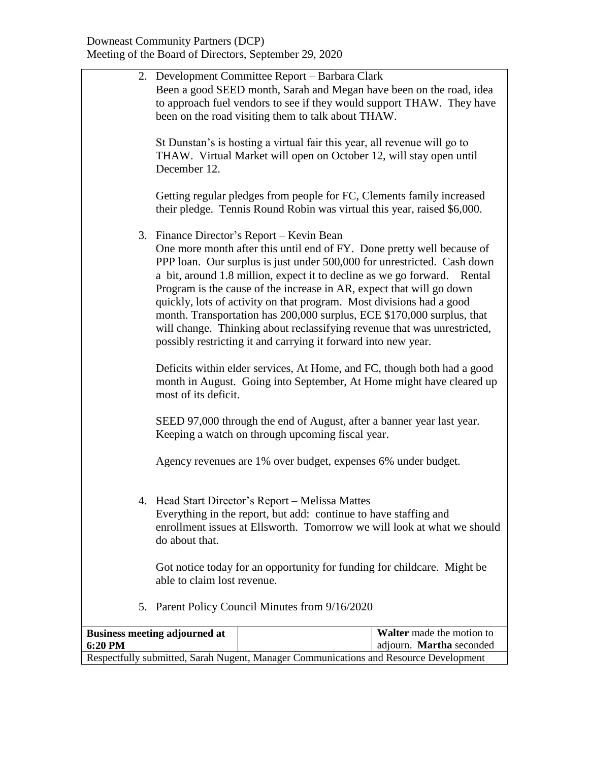|         |                                                                                                                                                                                                                                                                                                                             | 2. Development Committee Report – Barbara Clark<br>Been a good SEED month, Sarah and Megan have been on the road, idea<br>to approach fuel vendors to see if they would support THAW. They have<br>been on the road visiting them to talk about THAW.                                                                                                                                                                                                                                                                                                                                                                                              |                                                       |
|---------|-----------------------------------------------------------------------------------------------------------------------------------------------------------------------------------------------------------------------------------------------------------------------------------------------------------------------------|----------------------------------------------------------------------------------------------------------------------------------------------------------------------------------------------------------------------------------------------------------------------------------------------------------------------------------------------------------------------------------------------------------------------------------------------------------------------------------------------------------------------------------------------------------------------------------------------------------------------------------------------------|-------------------------------------------------------|
|         | December 12.                                                                                                                                                                                                                                                                                                                | St Dunstan's is hosting a virtual fair this year, all revenue will go to<br>THAW. Virtual Market will open on October 12, will stay open until                                                                                                                                                                                                                                                                                                                                                                                                                                                                                                     |                                                       |
|         |                                                                                                                                                                                                                                                                                                                             | Getting regular pledges from people for FC, Clements family increased<br>their pledge. Tennis Round Robin was virtual this year, raised \$6,000.                                                                                                                                                                                                                                                                                                                                                                                                                                                                                                   |                                                       |
|         |                                                                                                                                                                                                                                                                                                                             | 3. Finance Director's Report – Kevin Bean<br>One more month after this until end of FY. Done pretty well because of<br>PPP loan. Our surplus is just under 500,000 for unrestricted. Cash down<br>a bit, around 1.8 million, expect it to decline as we go forward. Rental<br>Program is the cause of the increase in AR, expect that will go down<br>quickly, lots of activity on that program. Most divisions had a good<br>month. Transportation has 200,000 surplus, ECE \$170,000 surplus, that<br>will change. Thinking about reclassifying revenue that was unrestricted,<br>possibly restricting it and carrying it forward into new year. |                                                       |
|         | most of its deficit.                                                                                                                                                                                                                                                                                                        | Deficits within elder services, At Home, and FC, though both had a good<br>month in August. Going into September, At Home might have cleared up                                                                                                                                                                                                                                                                                                                                                                                                                                                                                                    |                                                       |
|         |                                                                                                                                                                                                                                                                                                                             | SEED 97,000 through the end of August, after a banner year last year.<br>Keeping a watch on through upcoming fiscal year.                                                                                                                                                                                                                                                                                                                                                                                                                                                                                                                          |                                                       |
|         |                                                                                                                                                                                                                                                                                                                             | Agency revenues are 1% over budget, expenses 6% under budget.                                                                                                                                                                                                                                                                                                                                                                                                                                                                                                                                                                                      |                                                       |
|         | 4. Head Start Director's Report - Melissa Mattes<br>Everything in the report, but add: continue to have staffing and<br>enrollment issues at Ellsworth. Tomorrow we will look at what we should<br>do about that.<br>Got notice today for an opportunity for funding for childcare. Might be<br>able to claim lost revenue. |                                                                                                                                                                                                                                                                                                                                                                                                                                                                                                                                                                                                                                                    |                                                       |
|         |                                                                                                                                                                                                                                                                                                                             |                                                                                                                                                                                                                                                                                                                                                                                                                                                                                                                                                                                                                                                    |                                                       |
| 5.      |                                                                                                                                                                                                                                                                                                                             | Parent Policy Council Minutes from 9/16/2020                                                                                                                                                                                                                                                                                                                                                                                                                                                                                                                                                                                                       |                                                       |
| 6:20 PM | <b>Business meeting adjourned at</b>                                                                                                                                                                                                                                                                                        | Respectfully submitted, Sarah Nugent, Manager Communications and Resource Development                                                                                                                                                                                                                                                                                                                                                                                                                                                                                                                                                              | Walter made the motion to<br>adjourn. Martha seconded |